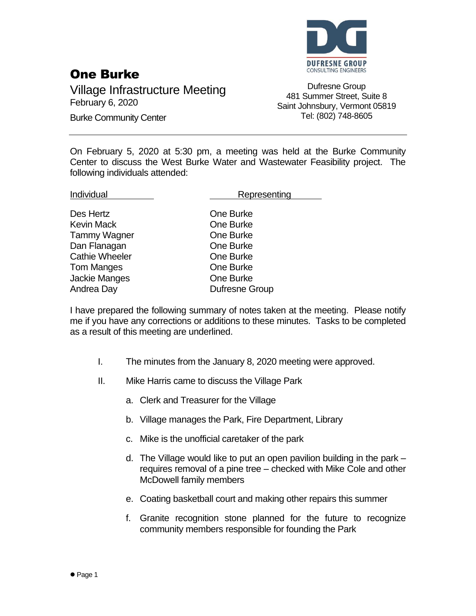

## One Burke

Village Infrastructure Meeting February 6, 2020

Burke Community Center

Dufresne Group 481 Summer Street, Suite 8 Saint Johnsbury, Vermont 05819 Tel: (802) 748-8605

On February 5, 2020 at 5:30 pm, a meeting was held at the Burke Community Center to discuss the West Burke Water and Wastewater Feasibility project. The following individuals attended:

Des Hertz **Des Grandes Cone Burke** Kevin Mack **Communist Communist Communist Communist Communist Communist Communist Communist Communist Communist Communist Communist Communist Communist Communist Communist Communist Communist Communist Communist Communist** Tammy Wagner **Communist Communist Communist Communist Communist Communist Communist Communist Communist Communist Communist Communist Communist Communist Communist Communist Communist Communist Communist Communist Communis** Dan Flanagan **Dan Flanagan** One Burke Cathie Wheeler **Cathie Wheeler Cathie** One Burke Tom Manges **Communist Communist Communist Communist Communist Communist Communist Communist Communist Communist Communist Communist Communist Communist Communist Communist Communist Communist Communist Communist Communist** Jackie Manges **One Burke** Andrea Day **Dufresne Group** 

Individual **Representing** 

I have prepared the following summary of notes taken at the meeting. Please notify me if you have any corrections or additions to these minutes. Tasks to be completed as a result of this meeting are underlined.

- I. The minutes from the January 8, 2020 meeting were approved.
- II. Mike Harris came to discuss the Village Park
	- a. Clerk and Treasurer for the Village
	- b. Village manages the Park, Fire Department, Library
	- c. Mike is the unofficial caretaker of the park
	- d. The Village would like to put an open pavilion building in the park requires removal of a pine tree – checked with Mike Cole and other McDowell family members
	- e. Coating basketball court and making other repairs this summer
	- f. Granite recognition stone planned for the future to recognize community members responsible for founding the Park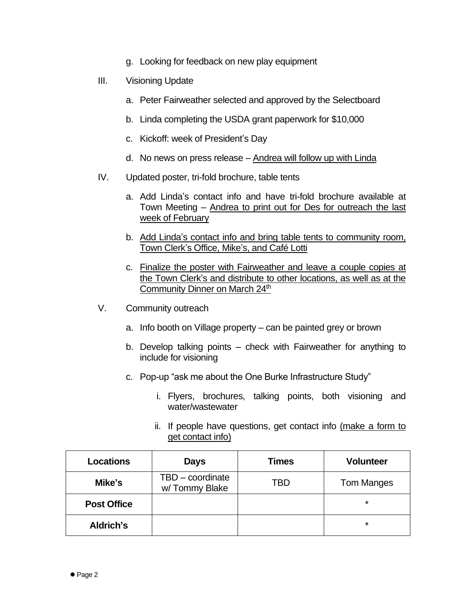- g. Looking for feedback on new play equipment
- III. Visioning Update
	- a. Peter Fairweather selected and approved by the Selectboard
	- b. Linda completing the USDA grant paperwork for \$10,000
	- c. Kickoff: week of President's Day
	- d. No news on press release Andrea will follow up with Linda
- IV. Updated poster, tri-fold brochure, table tents
	- a. Add Linda's contact info and have tri-fold brochure available at Town Meeting – Andrea to print out for Des for outreach the last week of February
	- b. Add Linda's contact info and bring table tents to community room, Town Clerk's Office, Mike's, and Café Lotti
	- c. Finalize the poster with Fairweather and leave a couple copies at the Town Clerk's and distribute to other locations, as well as at the Community Dinner on March 24th
- V. Community outreach
	- a. Info booth on Village property can be painted grey or brown
	- b. Develop talking points check with Fairweather for anything to include for visioning
	- c. Pop-up "ask me about the One Burke Infrastructure Study"
		- i. Flyers, brochures, talking points, both visioning and water/wastewater
		- ii. If people have questions, get contact info (make a form to get contact info)

| <b>Locations</b>   | <b>Days</b>                       | <b>Times</b> | <b>Volunteer</b>  |
|--------------------|-----------------------------------|--------------|-------------------|
| Mike's             | TBD - coordinate<br>w/Tommy Blake | TBD          | <b>Tom Manges</b> |
| <b>Post Office</b> |                                   |              | $\star$           |
| Aldrich's          |                                   |              | $\star$           |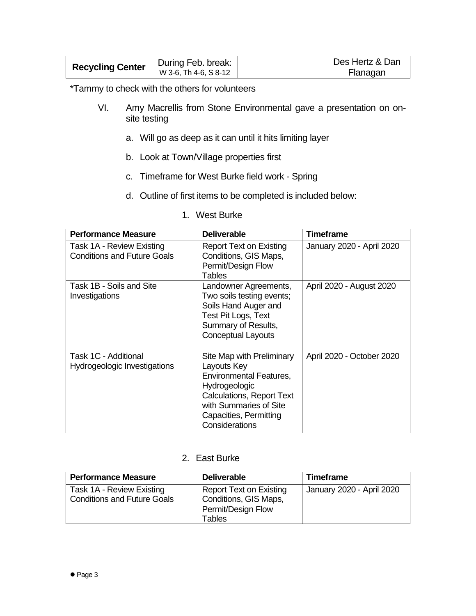| <b>Recycling Center</b> | During Feb. break:    | Des Hertz & Dan |
|-------------------------|-----------------------|-----------------|
|                         | W 3-6. Th 4-6. S 8-12 | Flanagan        |

\*Tammy to check with the others for volunteers

- VI. Amy Macrellis from Stone Environmental gave a presentation on onsite testing
	- a. Will go as deep as it can until it hits limiting layer
	- b. Look at Town/Village properties first
	- c. Timeframe for West Burke field work Spring
	- d. Outline of first items to be completed is included below:

| <b>Performance Measure</b>                                      | <b>Deliverable</b>                                                                                                                                                                                    | Timeframe                 |
|-----------------------------------------------------------------|-------------------------------------------------------------------------------------------------------------------------------------------------------------------------------------------------------|---------------------------|
| Task 1A - Review Existing<br><b>Conditions and Future Goals</b> | Report Text on Existing<br>Conditions, GIS Maps,<br>Permit/Design Flow<br>Tables                                                                                                                      | January 2020 - April 2020 |
| Task 1B - Soils and Site<br>Investigations                      | Landowner Agreements,<br>Two soils testing events;<br>Soils Hand Auger and<br>Test Pit Logs, Text<br>Summary of Results,<br><b>Conceptual Layouts</b>                                                 | April 2020 - August 2020  |
| Task 1C - Additional<br>Hydrogeologic Investigations            | Site Map with Preliminary<br>Layouts Key<br><b>Environmental Features,</b><br>Hydrogeologic<br><b>Calculations, Report Text</b><br>with Summaries of Site<br>Capacities, Permitting<br>Considerations | April 2020 - October 2020 |

1. West Burke

## 2. East Burke

| <b>Performance Measure</b>                                      | <b>Deliverable</b>                                                                      | <b>Timeframe</b>          |
|-----------------------------------------------------------------|-----------------------------------------------------------------------------------------|---------------------------|
| Task 1A - Review Existing<br><b>Conditions and Future Goals</b> | <b>Report Text on Existing</b><br>Conditions, GIS Maps,<br>Permit/Design Flow<br>Tables | January 2020 - April 2020 |